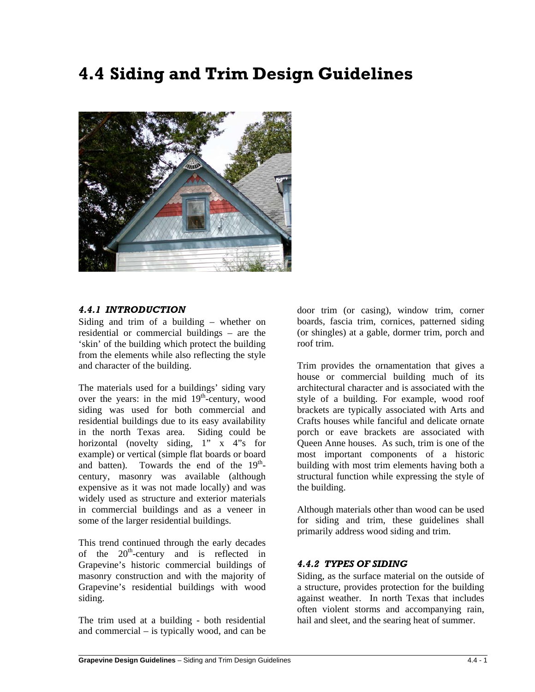# **4.4 Siding and Trim Design Guidelines**



# *4.4.1 INTRODUCTION*

Siding and trim of a building – whether on residential or commercial buildings – are the 'skin' of the building which protect the building from the elements while also reflecting the style and character of the building.

The materials used for a buildings' siding vary over the years: in the mid  $19<sup>th</sup>$ -century, wood siding was used for both commercial and residential buildings due to its easy availability in the north Texas area. Siding could be horizontal (novelty siding,  $1'' \times 4''$ s for example) or vertical (simple flat boards or board and batten). Towards the end of the  $19<sup>th</sup>$ century, masonry was available (although expensive as it was not made locally) and was widely used as structure and exterior materials in commercial buildings and as a veneer in some of the larger residential buildings.

This trend continued through the early decades of the  $20<sup>th</sup>$ -century and is reflected in Grapevine's historic commercial buildings of masonry construction and with the majority of Grapevine's residential buildings with wood siding.

The trim used at a building - both residential and commercial – is typically wood, and can be

 $\overline{a}$ 

door trim (or casing), window trim, corner boards, fascia trim, cornices, patterned siding (or shingles) at a gable, dormer trim, porch and roof trim.

Trim provides the ornamentation that gives a house or commercial building much of its architectural character and is associated with the style of a building. For example, wood roof brackets are typically associated with Arts and Crafts houses while fanciful and delicate ornate porch or eave brackets are associated with Queen Anne houses. As such, trim is one of the most important components of a historic building with most trim elements having both a structural function while expressing the style of the building.

Although materials other than wood can be used for siding and trim, these guidelines shall primarily address wood siding and trim.

## *4.4.2 TYPES OF SIDING*

Siding, as the surface material on the outside of a structure, provides protection for the building against weather. In north Texas that includes often violent storms and accompanying rain, hail and sleet, and the searing heat of summer.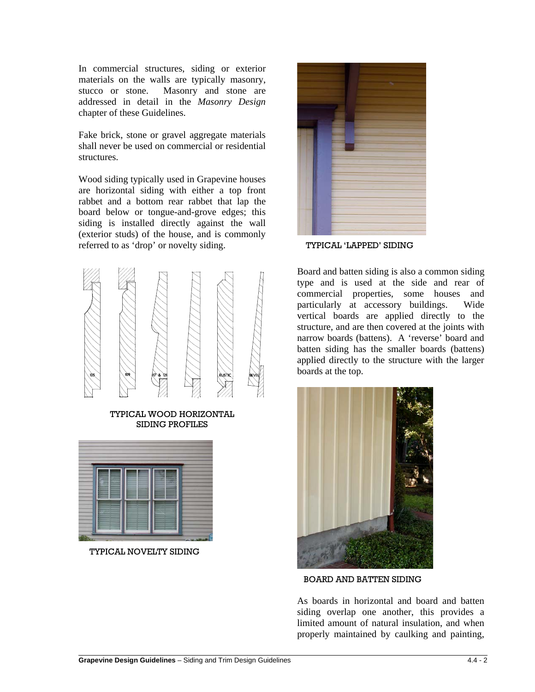In commercial structures, siding or exterior materials on the walls are typically masonry, stucco or stone. Masonry and stone are addressed in detail in the *Masonry Design* chapter of these Guidelines.

Fake brick, stone or gravel aggregate materials shall never be used on commercial or residential structures.

Wood siding typically used in Grapevine houses are horizontal siding with either a top front rabbet and a bottom rear rabbet that lap the board below or tongue-and-grove edges; this siding is installed directly against the wall (exterior studs) of the house, and is commonly referred to as 'drop' or novelty siding.



TYPICAL WOOD HORIZONTAL SIDING PROFILES



TYPICAL NOVELTY SIDING



TYPICAL 'LAPPED' SIDING

Board and batten siding is also a common siding type and is used at the side and rear of commercial properties, some houses and particularly at accessory buildings. Wide vertical boards are applied directly to the structure, and are then covered at the joints with narrow boards (battens). A 'reverse' board and batten siding has the smaller boards (battens) applied directly to the structure with the larger boards at the top.



BOARD AND BATTEN SIDING

As boards in horizontal and board and batten siding overlap one another, this provides a limited amount of natural insulation, and when properly maintained by caulking and painting,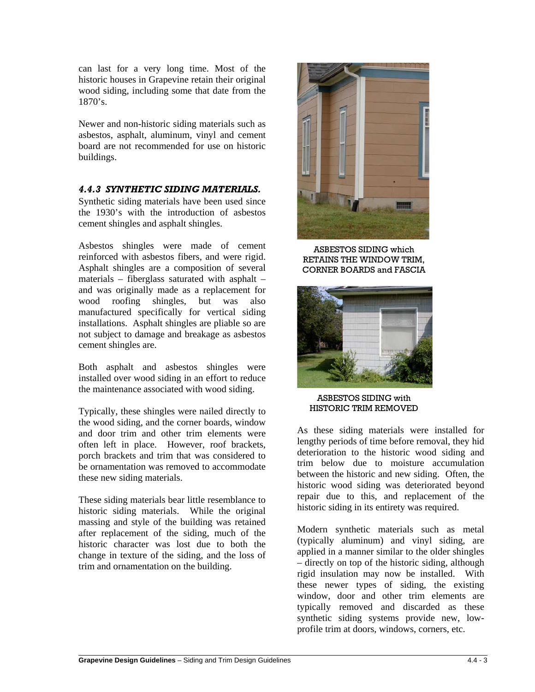can last for a very long time. Most of the historic houses in Grapevine retain their original wood siding, including some that date from the 1870's.

Newer and non-historic siding materials such as asbestos, asphalt, aluminum, vinyl and cement board are not recommended for use on historic buildings.

# *4.4.3 SYNTHETIC SIDING MATERIALS.*

Synthetic siding materials have been used since the 1930's with the introduction of asbestos cement shingles and asphalt shingles.

Asbestos shingles were made of cement reinforced with asbestos fibers, and were rigid. Asphalt shingles are a composition of several materials – fiberglass saturated with asphalt – and was originally made as a replacement for wood roofing shingles, but was also manufactured specifically for vertical siding installations. Asphalt shingles are pliable so are not subject to damage and breakage as asbestos cement shingles are.

Both asphalt and asbestos shingles were installed over wood siding in an effort to reduce the maintenance associated with wood siding.

Typically, these shingles were nailed directly to the wood siding, and the corner boards, window and door trim and other trim elements were often left in place. However, roof brackets, porch brackets and trim that was considered to be ornamentation was removed to accommodate these new siding materials.

These siding materials bear little resemblance to historic siding materials. While the original massing and style of the building was retained after replacement of the siding, much of the historic character was lost due to both the change in texture of the siding, and the loss of trim and ornamentation on the building.



ASBESTOS SIDING which RETAINS THE WINDOW TRIM, CORNER BOARDS and FASCIA



#### ASBESTOS SIDING with HISTORIC TRIM REMOVED

As these siding materials were installed for lengthy periods of time before removal, they hid deterioration to the historic wood siding and trim below due to moisture accumulation between the historic and new siding. Often, the historic wood siding was deteriorated beyond repair due to this, and replacement of the historic siding in its entirety was required.

Modern synthetic materials such as metal (typically aluminum) and vinyl siding, are applied in a manner similar to the older shingles – directly on top of the historic siding, although rigid insulation may now be installed. With these newer types of siding, the existing window, door and other trim elements are typically removed and discarded as these synthetic siding systems provide new, lowprofile trim at doors, windows, corners, etc.

 $\overline{a}$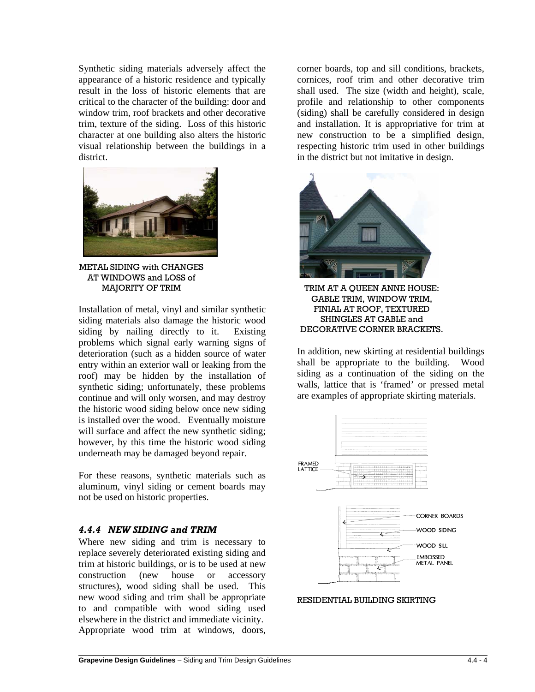Synthetic siding materials adversely affect the appearance of a historic residence and typically result in the loss of historic elements that are critical to the character of the building: door and window trim, roof brackets and other decorative trim, texture of the siding. Loss of this historic character at one building also alters the historic visual relationship between the buildings in a district.



METAL SIDING with CHANGES AT WINDOWS and LOSS of MAJORITY OF TRIM

Installation of metal, vinyl and similar synthetic siding materials also damage the historic wood siding by nailing directly to it. Existing problems which signal early warning signs of deterioration (such as a hidden source of water entry within an exterior wall or leaking from the roof) may be hidden by the installation of synthetic siding; unfortunately, these problems continue and will only worsen, and may destroy the historic wood siding below once new siding is installed over the wood. Eventually moisture will surface and affect the new synthetic siding; however, by this time the historic wood siding underneath may be damaged beyond repair.

For these reasons, synthetic materials such as aluminum, vinyl siding or cement boards may not be used on historic properties.

## *4.4.4 NEW SIDING and TRIM*

 $\overline{a}$ 

Where new siding and trim is necessary to replace severely deteriorated existing siding and trim at historic buildings, or is to be used at new construction (new house or accessory structures), wood siding shall be used. This new wood siding and trim shall be appropriate to and compatible with wood siding used elsewhere in the district and immediate vicinity. Appropriate wood trim at windows, doors, corner boards, top and sill conditions, brackets, cornices, roof trim and other decorative trim shall used. The size (width and height), scale, profile and relationship to other components (siding) shall be carefully considered in design and installation. It is appropriative for trim at new construction to be a simplified design, respecting historic trim used in other buildings in the district but not imitative in design.



TRIM AT A QUEEN ANNE HOUSE: GABLE TRIM, WINDOW TRIM, FINIAL AT ROOF, TEXTURED SHINGLES AT GABLE and DECORATIVE CORNER BRACKETS.

In addition, new skirting at residential buildings shall be appropriate to the building. Wood siding as a continuation of the siding on the walls, lattice that is 'framed' or pressed metal are examples of appropriate skirting materials.